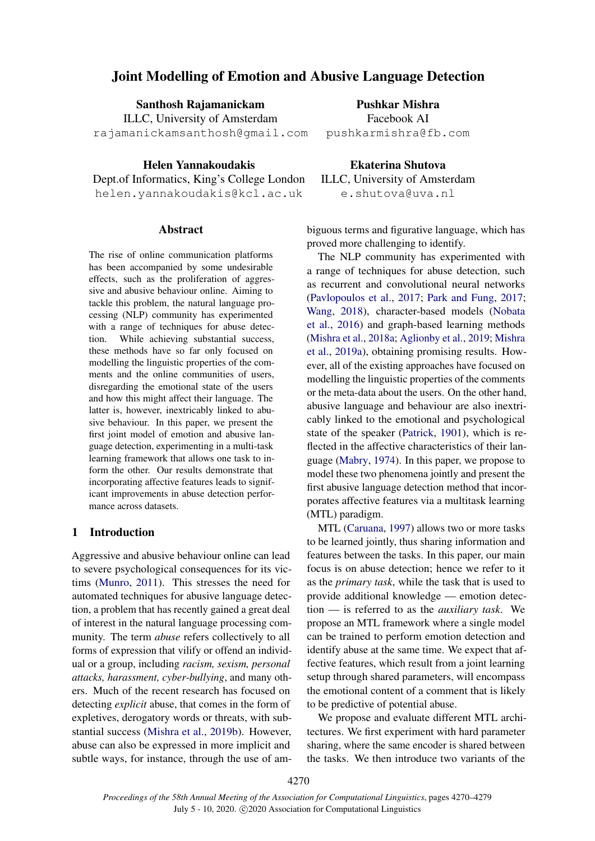# Joint Modelling of Emotion and Abusive Language Detection

Santhosh Rajamanickam

ILLC, University of Amsterdam rajamanickamsanthosh@gmail.com

Helen Yannakoudakis Dept.of Informatics, King's College London

helen.yannakoudakis@kcl.ac.uk

# Abstract

The rise of online communication platforms has been accompanied by some undesirable effects, such as the proliferation of aggressive and abusive behaviour online. Aiming to tackle this problem, the natural language processing (NLP) community has experimented with a range of techniques for abuse detection. While achieving substantial success, these methods have so far only focused on modelling the linguistic properties of the comments and the online communities of users, disregarding the emotional state of the users and how this might affect their language. The latter is, however, inextricably linked to abusive behaviour. In this paper, we present the first joint model of emotion and abusive language detection, experimenting in a multi-task learning framework that allows one task to inform the other. Our results demonstrate that incorporating affective features leads to significant improvements in abuse detection performance across datasets.

# 1 Introduction

Aggressive and abusive behaviour online can lead to severe psychological consequences for its victims [\(Munro,](#page-8-0) [2011\)](#page-8-0). This stresses the need for automated techniques for abusive language detection, a problem that has recently gained a great deal of interest in the natural language processing community. The term *abuse* refers collectively to all forms of expression that vilify or offend an individual or a group, including *racism, sexism, personal attacks, harassment, cyber-bullying*, and many others. Much of the recent research has focused on detecting *explicit* abuse, that comes in the form of expletives, derogatory words or threats, with substantial success [\(Mishra et al.,](#page-8-1) [2019b\)](#page-8-1). However, abuse can also be expressed in more implicit and subtle ways, for instance, through the use of am-

Pushkar Mishra Facebook AI pushkarmishra@fb.com

Ekaterina Shutova ILLC, University of Amsterdam e.shutova@uva.nl

biguous terms and figurative language, which has proved more challenging to identify.

The NLP community has experimented with a range of techniques for abuse detection, such as recurrent and convolutional neural networks [\(Pavlopoulos et al.,](#page-8-2) [2017;](#page-8-2) [Park and Fung,](#page-8-3) [2017;](#page-8-3) [Wang,](#page-9-0) [2018\)](#page-9-0), character-based models [\(Nobata](#page-8-4) [et al.,](#page-8-4) [2016\)](#page-8-4) and graph-based learning methods [\(Mishra et al.,](#page-8-5) [2018a;](#page-8-5) [Aglionby et al.,](#page-7-0) [2019;](#page-7-0) [Mishra](#page-8-6) [et al.,](#page-8-6) [2019a\)](#page-8-6), obtaining promising results. However, all of the existing approaches have focused on modelling the linguistic properties of the comments or the meta-data about the users. On the other hand, abusive language and behaviour are also inextricably linked to the emotional and psychological state of the speaker [\(Patrick,](#page-8-7) [1901\)](#page-8-7), which is reflected in the affective characteristics of their language [\(Mabry,](#page-8-8) [1974\)](#page-8-8). In this paper, we propose to model these two phenomena jointly and present the first abusive language detection method that incorporates affective features via a multitask learning (MTL) paradigm.

MTL [\(Caruana,](#page-8-9) [1997\)](#page-8-9) allows two or more tasks to be learned jointly, thus sharing information and features between the tasks. In this paper, our main focus is on abuse detection; hence we refer to it as the *primary task*, while the task that is used to provide additional knowledge — emotion detection — is referred to as the *auxiliary task*. We propose an MTL framework where a single model can be trained to perform emotion detection and identify abuse at the same time. We expect that affective features, which result from a joint learning setup through shared parameters, will encompass the emotional content of a comment that is likely to be predictive of potential abuse.

We propose and evaluate different MTL architectures. We first experiment with hard parameter sharing, where the same encoder is shared between the tasks. We then introduce two variants of the

4270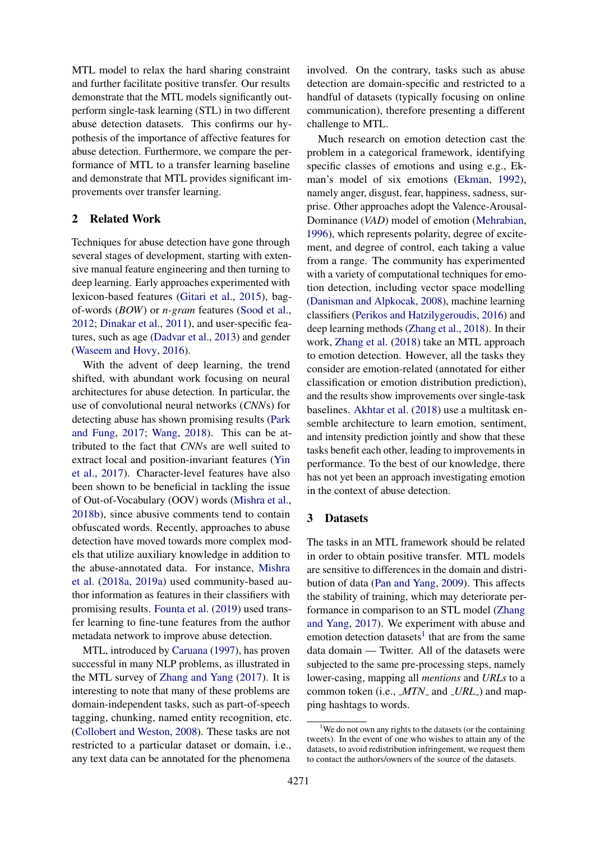MTL model to relax the hard sharing constraint and further facilitate positive transfer. Our results demonstrate that the MTL models significantly outperform single-task learning (STL) in two different abuse detection datasets. This confirms our hypothesis of the importance of affective features for abuse detection. Furthermore, we compare the performance of MTL to a transfer learning baseline and demonstrate that MTL provides significant improvements over transfer learning.

# 2 Related Work

Techniques for abuse detection have gone through several stages of development, starting with extensive manual feature engineering and then turning to deep learning. Early approaches experimented with lexicon-based features [\(Gitari et al.,](#page-8-10) [2015\)](#page-8-10), bagof-words (*BOW*) or *n-gram* features [\(Sood et al.,](#page-9-1) [2012;](#page-9-1) [Dinakar et al.,](#page-8-11) [2011\)](#page-8-11), and user-specific features, such as age [\(Dadvar et al.,](#page-8-12) [2013\)](#page-8-12) and gender [\(Waseem and Hovy,](#page-9-2) [2016\)](#page-9-2).

With the advent of deep learning, the trend shifted, with abundant work focusing on neural architectures for abuse detection. In particular, the use of convolutional neural networks (*CNN*s) for detecting abuse has shown promising results [\(Park](#page-8-3) [and Fung,](#page-8-3) [2017;](#page-8-3) [Wang,](#page-9-0) [2018\)](#page-9-0). This can be attributed to the fact that *CNN*s are well suited to extract local and position-invariant features [\(Yin](#page-9-3) [et al.,](#page-9-3) [2017\)](#page-9-3). Character-level features have also been shown to be beneficial in tackling the issue of Out-of-Vocabulary (OOV) words [\(Mishra et al.,](#page-8-13) [2018b\)](#page-8-13), since abusive comments tend to contain obfuscated words. Recently, approaches to abuse detection have moved towards more complex models that utilize auxiliary knowledge in addition to the abuse-annotated data. For instance, [Mishra](#page-8-5) [et al.](#page-8-5) [\(2018a,](#page-8-5) [2019a\)](#page-8-6) used community-based author information as features in their classifiers with promising results. [Founta et al.](#page-8-14) [\(2019\)](#page-8-14) used transfer learning to fine-tune features from the author metadata network to improve abuse detection.

MTL, introduced by [Caruana](#page-8-9) [\(1997\)](#page-8-9), has proven successful in many NLP problems, as illustrated in the MTL survey of [Zhang and Yang](#page-9-4) [\(2017\)](#page-9-4). It is interesting to note that many of these problems are domain-independent tasks, such as part-of-speech tagging, chunking, named entity recognition, etc. [\(Collobert and Weston,](#page-8-15) [2008\)](#page-8-15). These tasks are not restricted to a particular dataset or domain, i.e., any text data can be annotated for the phenomena

involved. On the contrary, tasks such as abuse detection are domain-specific and restricted to a handful of datasets (typically focusing on online communication), therefore presenting a different challenge to MTL.

Much research on emotion detection cast the problem in a categorical framework, identifying specific classes of emotions and using e.g., Ekman's model of six emotions [\(Ekman,](#page-8-16) [1992\)](#page-8-16), namely anger, disgust, fear, happiness, sadness, surprise. Other approaches adopt the Valence-Arousal-Dominance (*VAD*) model of emotion [\(Mehrabian,](#page-8-17) [1996\)](#page-8-17), which represents polarity, degree of excitement, and degree of control, each taking a value from a range. The community has experimented with a variety of computational techniques for emotion detection, including vector space modelling [\(Danisman and Alpkocak,](#page-8-18) [2008\)](#page-8-18), machine learning classifiers [\(Perikos and Hatzilygeroudis,](#page-9-5) [2016\)](#page-9-5) and deep learning methods [\(Zhang et al.,](#page-9-6) [2018\)](#page-9-6). In their work, [Zhang et al.](#page-9-6) [\(2018\)](#page-9-6) take an MTL approach to emotion detection. However, all the tasks they consider are emotion-related (annotated for either classification or emotion distribution prediction), and the results show improvements over single-task baselines. [Akhtar et al.](#page-7-1) [\(2018\)](#page-7-1) use a multitask ensemble architecture to learn emotion, sentiment, and intensity prediction jointly and show that these tasks benefit each other, leading to improvements in performance. To the best of our knowledge, there has not yet been an approach investigating emotion in the context of abuse detection.

### 3 Datasets

The tasks in an MTL framework should be related in order to obtain positive transfer. MTL models are sensitive to differences in the domain and distribution of data [\(Pan and Yang,](#page-8-19) [2009\)](#page-8-19). This affects the stability of training, which may deteriorate performance in comparison to an STL model [\(Zhang](#page-9-4) [and Yang,](#page-9-4) [2017\)](#page-9-4). We experiment with abuse and emotion detection datasets<sup>[1](#page-1-0)</sup> that are from the same data domain — Twitter. All of the datasets were subjected to the same pre-processing steps, namely lower-casing, mapping all *mentions* and *URLs* to a common token (i.e., *MTN* and *LURL*) and mapping hashtags to words.

<span id="page-1-0"></span><sup>&</sup>lt;sup>1</sup>We do not own any rights to the datasets (or the containing tweets). In the event of one who wishes to attain any of the datasets, to avoid redistribution infringement, we request them to contact the authors/owners of the source of the datasets.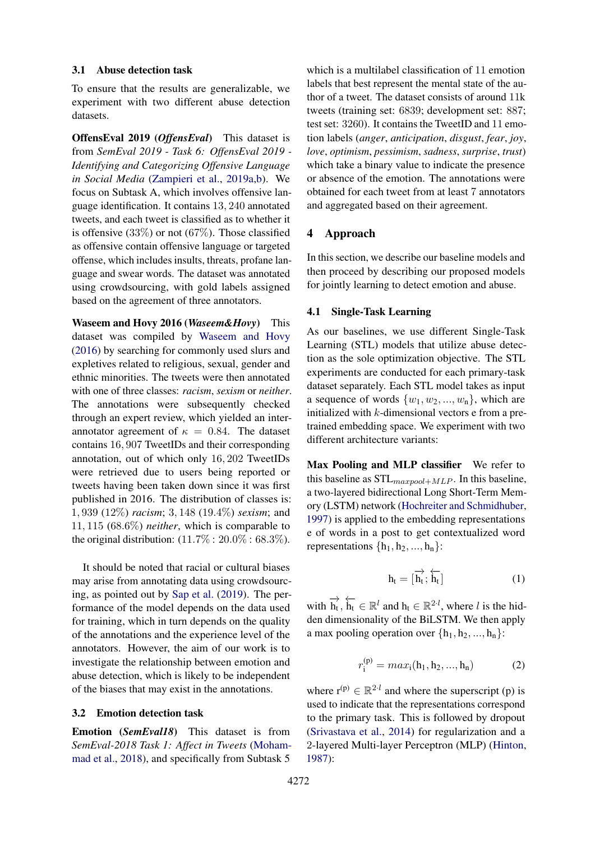### 3.1 Abuse detection task

To ensure that the results are generalizable, we experiment with two different abuse detection datasets.

OffensEval 2019 (*OffensEval*) This dataset is from *SemEval 2019 - Task 6: OffensEval 2019 - Identifying and Categorizing Offensive Language in Social Media* [\(Zampieri et al.,](#page-9-7) [2019a,](#page-9-7)[b\)](#page-9-8). We focus on Subtask A, which involves offensive language identification. It contains 13, 240 annotated tweets, and each tweet is classified as to whether it is offensive  $(33\%)$  or not  $(67\%)$ . Those classified as offensive contain offensive language or targeted offense, which includes insults, threats, profane language and swear words. The dataset was annotated using crowdsourcing, with gold labels assigned based on the agreement of three annotators.

Waseem and Hovy 2016 (*Waseem&Hovy*) This dataset was compiled by [Waseem and Hovy](#page-9-2) [\(2016\)](#page-9-2) by searching for commonly used slurs and expletives related to religious, sexual, gender and ethnic minorities. The tweets were then annotated with one of three classes: *racism*, *sexism* or *neither*. The annotations were subsequently checked through an expert review, which yielded an interannotator agreement of  $\kappa = 0.84$ . The dataset contains 16, 907 TweetIDs and their corresponding annotation, out of which only 16, 202 TweetIDs were retrieved due to users being reported or tweets having been taken down since it was first published in 2016. The distribution of classes is: 1, 939 (12%) *racism*; 3, 148 (19.4%) *sexism*; and 11, 115 (68.6%) *neither*, which is comparable to the original distribution:  $(11.7\% : 20.0\% : 68.3\%).$ 

It should be noted that racial or cultural biases may arise from annotating data using crowdsourcing, as pointed out by [Sap et al.](#page-9-9) [\(2019\)](#page-9-9). The performance of the model depends on the data used for training, which in turn depends on the quality of the annotations and the experience level of the annotators. However, the aim of our work is to investigate the relationship between emotion and abuse detection, which is likely to be independent of the biases that may exist in the annotations.

#### 3.2 Emotion detection task

Emotion (*SemEval18*) This dataset is from *SemEval-2018 Task 1: Affect in Tweets* [\(Moham](#page-8-20)[mad et al.,](#page-8-20) [2018\)](#page-8-20), and specifically from Subtask 5

which is a multilabel classification of 11 emotion labels that best represent the mental state of the author of a tweet. The dataset consists of around 11k tweets (training set: 6839; development set: 887; test set: 3260). It contains the TweetID and 11 emotion labels (*anger*, *anticipation*, *disgust*, *fear*, *joy*, *love*, *optimism*, *pessimism*, *sadness*, *surprise*, *trust*) which take a binary value to indicate the presence or absence of the emotion. The annotations were obtained for each tweet from at least 7 annotators and aggregated based on their agreement.

### 4 Approach

In this section, we describe our baseline models and then proceed by describing our proposed models for jointly learning to detect emotion and abuse.

### 4.1 Single-Task Learning

As our baselines, we use different Single-Task Learning (STL) models that utilize abuse detection as the sole optimization objective. The STL experiments are conducted for each primary-task dataset separately. Each STL model takes as input a sequence of words  $\{w_1, w_2, ..., w_n\}$ , which are initialized with  $k$ -dimensional vectors  $e$  from a pretrained embedding space. We experiment with two different architecture variants:

Max Pooling and MLP classifier We refer to this baseline as  $STL_{maxpool+MLP}$ . In this baseline, a two-layered bidirectional Long Short-Term Memory (LSTM) network [\(Hochreiter and Schmidhuber,](#page-8-21) [1997\)](#page-8-21) is applied to the embedding representations e of words in a post to get contextualized word representations  $\{h_1, h_2, ..., h_n\}$ :

$$
h_t = [\overrightarrow{h_t}; \overleftarrow{h_t}] \tag{1}
$$

with  $\overrightarrow{h_t}$ ,  $\overleftarrow{h_t} \in \mathbb{R}^l$  and  $h_t \in \mathbb{R}^{2 \cdot l}$ , where l is the hidden dimensionality of the BiLSTM. We then apply a max pooling operation over  $\{h_1, h_2, ..., h_n\}$ :

$$
r_i^{(p)} = max_i(h_1, h_2, ..., h_n)
$$
 (2)

where  $r^{(p)} \in \mathbb{R}^{2 \cdot l}$  and where the superscript (p) is used to indicate that the representations correspond to the primary task. This is followed by dropout [\(Srivastava et al.,](#page-9-10) [2014\)](#page-9-10) for regularization and a 2-layered Multi-layer Perceptron (MLP) [\(Hinton,](#page-8-22) [1987\)](#page-8-22):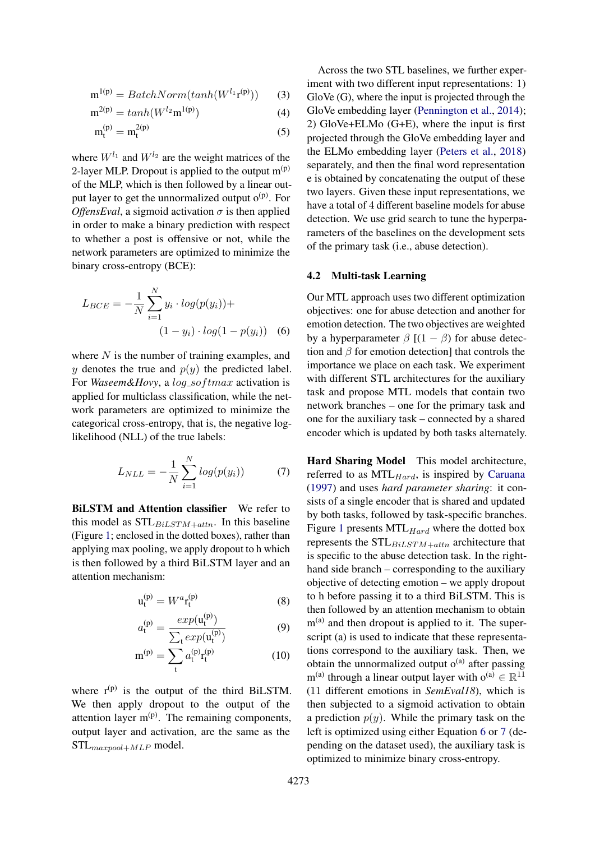$$
\mathbf{m}^{1(p)} = BatchNorm(tanh(W^{l_1}\mathbf{r}^{(p)}))
$$
 (3)

$$
m^{2(p)} = \tanh(W^{l_2} m^{1(p)})
$$
 (4)

$$
m_t^{(p)} = m_t^{2(p)} \tag{5}
$$

where  $W^{l_1}$  and  $W^{l_2}$  are the weight matrices of the 2-layer MLP. Dropout is applied to the output  $m^{(p)}$ of the MLP, which is then followed by a linear output layer to get the unnormalized output  $o^{(p)}$ . For *OffensEval*, a sigmoid activation  $\sigma$  is then applied in order to make a binary prediction with respect to whether a post is offensive or not, while the network parameters are optimized to minimize the binary cross-entropy (BCE):

$$
L_{BCE} = -\frac{1}{N} \sum_{i=1}^{N} y_i \cdot log(p(y_i)) +
$$
  

$$
(1 - y_i) \cdot log(1 - p(y_i))
$$
 (6)

where  $N$  is the number of training examples, and y denotes the true and  $p(y)$  the predicted label. For *Waseem&Hovy*, a *log\_softmax* activation is applied for multiclass classification, while the network parameters are optimized to minimize the categorical cross-entropy, that is, the negative loglikelihood (NLL) of the true labels:

<span id="page-3-1"></span>
$$
L_{NLL} = -\frac{1}{N} \sum_{i=1}^{N} log(p(y_i))
$$
 (7)

BiLSTM and Attention classifier We refer to this model as  $STL_{BiLSTM+attn}$ . In this baseline (Figure [1;](#page-4-0) enclosed in the dotted boxes), rather than applying max pooling, we apply dropout to h which is then followed by a third BiLSTM layer and an attention mechanism:

$$
\mathbf{u}_{t}^{(p)} = W^{a} \mathbf{r}_{t}^{(p)} \tag{8}
$$

$$
a_{t}^{(p)} = \frac{exp(\mathbf{u}_{t}^{(p)})}{\sum_{t} exp(\mathbf{u}_{t}^{(p)})}
$$
(9)

$$
m^{(p)} = \sum_{t} a_{t}^{(p)} r_{t}^{(p)}
$$
 (10)

where  $r^{(p)}$  is the output of the third BiLSTM. We then apply dropout to the output of the attention layer  $m^{(p)}$ . The remaining components, output layer and activation, are the same as the  $STL_{maxpool+MLP}$  model.

Across the two STL baselines, we further experiment with two different input representations: 1) GloVe (G), where the input is projected through the GloVe embedding layer [\(Pennington et al.,](#page-9-11) [2014\)](#page-9-11); 2) GloVe+ELMo (G+E), where the input is first projected through the GloVe embedding layer and the ELMo embedding layer [\(Peters et al.,](#page-9-12) [2018\)](#page-9-12) separately, and then the final word representation e is obtained by concatenating the output of these two layers. Given these input representations, we have a total of 4 different baseline models for abuse detection. We use grid search to tune the hyperparameters of the baselines on the development sets of the primary task (i.e., abuse detection).

#### 4.2 Multi-task Learning

<span id="page-3-0"></span>Our MTL approach uses two different optimization objectives: one for abuse detection and another for emotion detection. The two objectives are weighted by a hyperparameter  $\beta$  [(1 –  $\beta$ ) for abuse detection and  $\beta$  for emotion detection] that controls the importance we place on each task. We experiment with different STL architectures for the auxiliary task and propose MTL models that contain two network branches – one for the primary task and one for the auxiliary task – connected by a shared encoder which is updated by both tasks alternately.

Hard Sharing Model This model architecture, referred to as  $MTL_{Hard}$ , is inspired by [Caruana](#page-8-9) [\(1997\)](#page-8-9) and uses *hard parameter sharing*: it consists of a single encoder that is shared and updated by both tasks, followed by task-specific branches. Figure [1](#page-4-0) presents  $MTL_{Hard}$  where the dotted box represents the  $STL_{BiLSTM+attn}$  architecture that is specific to the abuse detection task. In the righthand side branch – corresponding to the auxiliary objective of detecting emotion – we apply dropout to h before passing it to a third BiLSTM. This is then followed by an attention mechanism to obtain  $m<sup>(a)</sup>$  and then dropout is applied to it. The superscript (a) is used to indicate that these representations correspond to the auxiliary task. Then, we obtain the unnormalized output  $o^{(a)}$  after passing  $m^{(a)}$  through a linear output layer with  $o^{(a)} \in \mathbb{R}^{11}$ (11 different emotions in *SemEval18*), which is then subjected to a sigmoid activation to obtain a prediction  $p(y)$ . While the primary task on the left is optimized using either Equation [6](#page-3-0) or [7](#page-3-1) (depending on the dataset used), the auxiliary task is optimized to minimize binary cross-entropy.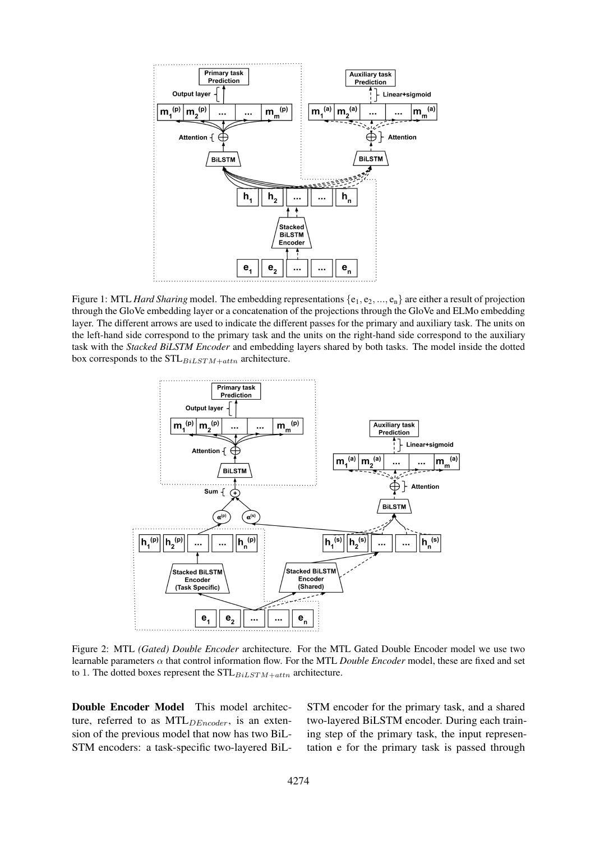<span id="page-4-0"></span>

Figure 1: MTL *Hard Sharing* model. The embedding representations  $\{e_1, e_2, ..., e_n\}$  are either a result of projection through the GloVe embedding layer or a concatenation of the projections through the GloVe and ELMo embedding layer. The different arrows are used to indicate the different passes for the primary and auxiliary task. The units on the left-hand side correspond to the primary task and the units on the right-hand side correspond to the auxiliary task with the *Stacked BiLSTM Encoder* and embedding layers shared by both tasks. The model inside the dotted box corresponds to the  $STL_{BiLSTM+attn}$  architecture.

<span id="page-4-1"></span>

Figure 2: MTL *(Gated) Double Encoder* architecture. For the MTL Gated Double Encoder model we use two learnable parameters  $\alpha$  that control information flow. For the MTL *Double Encoder* model, these are fixed and set to 1. The dotted boxes represent the  $STL_{BiLSTM+attn}$  architecture.

Double Encoder Model This model architecture, referred to as  $MTL_{DEncoder}$ , is an extension of the previous model that now has two BiL-STM encoders: a task-specific two-layered BiL- STM encoder for the primary task, and a shared two-layered BiLSTM encoder. During each training step of the primary task, the input representation e for the primary task is passed through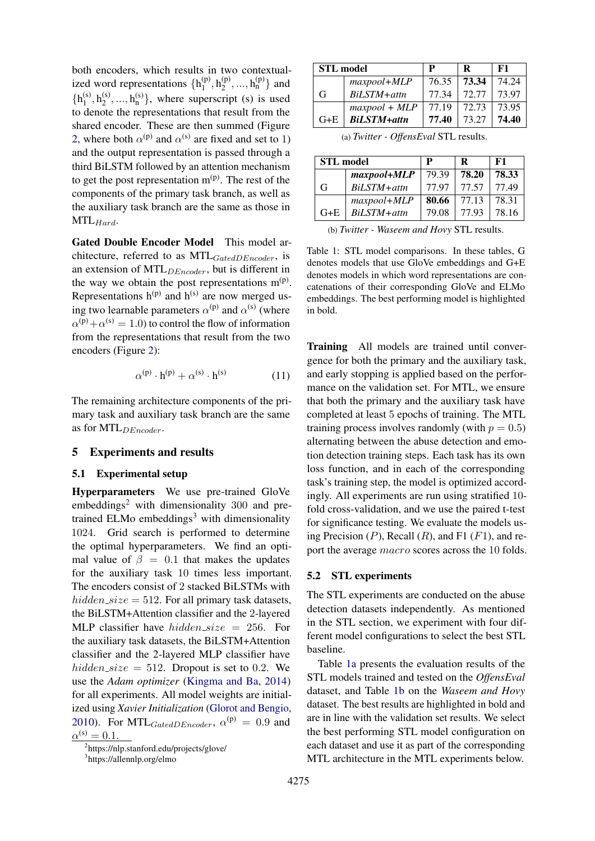both encoders, which results in two contextualized word representations  $\{h_1^{(p)}\}$  $\binom{p}{1}, \binom{p}{2}$  $\binom{p}{2}, \ldots, \binom{p}{n}$  and  $\{h_1^{(s)}\}$  $\mathfrak{h}_1^{(s)}$ ,  $\mathfrak{h}_2^{(s)}$  $\binom{s}{2}, \ldots, \binom{h(s)}{n}$ , where superscript (s) is used to denote the representations that result from the shared encoder. These are then summed (Figure [2,](#page-4-1) where both  $\alpha^{(p)}$  and  $\alpha^{(s)}$  are fixed and set to 1) and the output representation is passed through a third BiLSTM followed by an attention mechanism to get the post representation  $m^{(p)}$ . The rest of the components of the primary task branch, as well as the auxiliary task branch are the same as those in  $MTL_{Hard}$ .

Gated Double Encoder Model This model architecture, referred to as  $MTL_{GatedDEncoder}$ , is an extension of MTL<sub>DEncoder</sub>, but is different in the way we obtain the post representations  $m^{(p)}$ . Representations  $h^{(p)}$  and  $h^{(s)}$  are now merged using two learnable parameters  $\alpha^{(p)}$  and  $\alpha^{(s)}$  (where  $\alpha^{(p)} + \alpha^{(s)} = 1.0$ ) to control the flow of information from the representations that result from the two encoders (Figure [2\)](#page-4-1):

$$
\alpha^{(p)} \cdot h^{(p)} + \alpha^{(s)} \cdot h^{(s)} \tag{11}
$$

The remaining architecture components of the primary task and auxiliary task branch are the same as for  $MTL_{DEncoder}$ .

# 5 Experiments and results

### 5.1 Experimental setup

Hyperparameters We use pre-trained GloVe embeddings<sup>[2](#page-5-0)</sup> with dimensionality 300 and pre-trained ELMo embeddings<sup>[3](#page-5-1)</sup> with dimensionality 1024. Grid search is performed to determine the optimal hyperparameters. We find an optimal value of  $\beta = 0.1$  that makes the updates for the auxiliary task 10 times less important. The encoders consist of 2 stacked BiLSTMs with hidden  $size = 512$ . For all primary task datasets, the BiLSTM+Attention classifier and the 2-layered MLP classifier have *hidden\_size* = 256. For the auxiliary task datasets, the BiLSTM+Attention classifier and the 2-layered MLP classifier have hidden size = 512. Dropout is set to 0.2. We use the *Adam optimizer* [\(Kingma and Ba,](#page-8-23) [2014\)](#page-8-23) for all experiments. All model weights are initialized using *Xavier Initialization* [\(Glorot and Bengio,](#page-8-24) [2010\)](#page-8-24). For MTL<sub>GatedDEncoder</sub>,  $\alpha^{(p)} = 0.9$  and  $\alpha^{(s)} = 0.1.$ 

<span id="page-5-2"></span>

| <b>STL</b> model |                    | P     | R     | F1    |  |
|------------------|--------------------|-------|-------|-------|--|
|                  | maxpool+MLP        | 76.35 | 73.34 | 74.24 |  |
| G                | $BiLSTM + attn$    | 77.34 | 72.77 | 73.97 |  |
|                  | $maxpool + MLP$    | 77.19 | 72.73 | 73.95 |  |
| $G+E$            | <b>BiLSTM+attn</b> | 77.40 | 73.27 | 74.40 |  |

(a) *Twitter - OffensEval* STL results.

| <b>STL</b> model |             |       | R     | F1    |
|------------------|-------------|-------|-------|-------|
|                  | maxpool+MLP | 79.39 | 78.20 | 78.33 |
| G                | BiLSTM+attn | 77 97 | 77.57 | 77.49 |
|                  | maxpool+MLP | 80.66 | 77.13 | 78.31 |
| $G + E$          | BiLSTM+attn | 79.08 | 77.93 | 78.16 |

(b) *Twitter - Waseem and Hovy* STL results.

Table 1: STL model comparisons. In these tables, G denotes models that use GloVe embeddings and G+E denotes models in which word representations are concatenations of their corresponding GloVe and ELMo embeddings. The best performing model is highlighted in bold.

Training All models are trained until convergence for both the primary and the auxiliary task, and early stopping is applied based on the performance on the validation set. For MTL, we ensure that both the primary and the auxiliary task have completed at least 5 epochs of training. The MTL training process involves randomly (with  $p = 0.5$ ) alternating between the abuse detection and emotion detection training steps. Each task has its own loss function, and in each of the corresponding task's training step, the model is optimized accordingly. All experiments are run using stratified 10 fold cross-validation, and we use the paired t-test for significance testing. We evaluate the models using Precision  $(P)$ , Recall  $(R)$ , and F1  $(F1)$ , and report the average macro scores across the 10 folds.

#### 5.2 STL experiments

The STL experiments are conducted on the abuse detection datasets independently. As mentioned in the STL section, we experiment with four different model configurations to select the best STL baseline.

Table [1a](#page-5-2) presents the evaluation results of the STL models trained and tested on the *OffensEval* dataset, and Table [1b](#page-5-2) on the *Waseem and Hovy* dataset. The best results are highlighted in bold and are in line with the validation set results. We select the best performing STL model configuration on each dataset and use it as part of the corresponding MTL architecture in the MTL experiments below.

<span id="page-5-0"></span><sup>2</sup> https://nlp.stanford.edu/projects/glove/

<span id="page-5-1"></span><sup>&</sup>lt;sup>3</sup>https://allennlp.org/elmo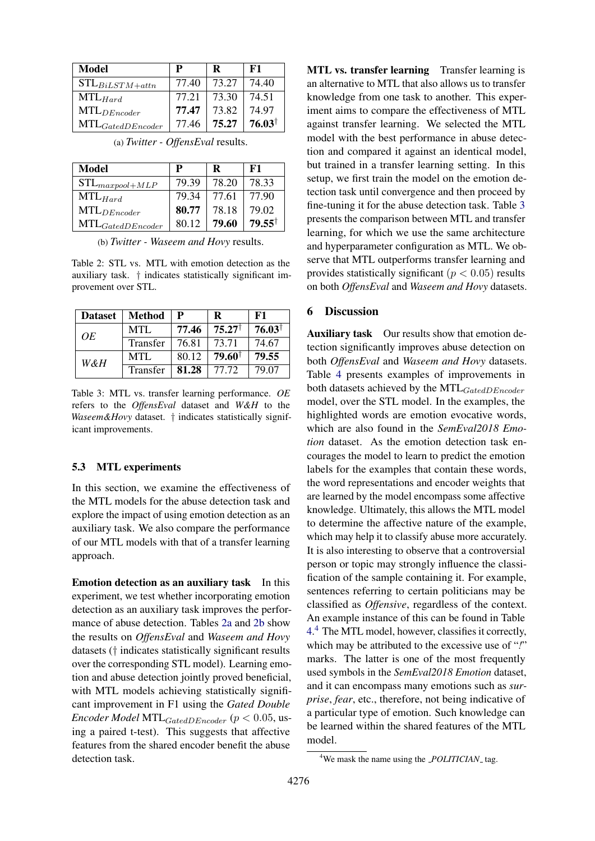<span id="page-6-0"></span>

| Model                        | P     | R     | F1                |
|------------------------------|-------|-------|-------------------|
| $\mathrm{STL}_{BiLSTM+attn}$ | 77.40 | 73.27 | 74.40             |
| $MTL_{Hard}$                 | 77.21 | 73.30 | 74.51             |
| $\text{MTL}_{DEncoder}$      | 77.47 | 73.82 | 74.97             |
| $MTL_{GatedDEncoder}$        | 77.46 | 75.27 | $76.03^{\dagger}$ |

| Model                 |       | R     | F1                |
|-----------------------|-------|-------|-------------------|
| $STL_{maxpool+MLP}$   | 79.39 | 78.20 | 78.33             |
| $\text{MTL}_{Hard}$   | 79.34 | 77.61 | 77.90             |
| $MTL_{DEncoder}$      | 80.77 | 78.18 | 79.02             |
| $MTL_{GatedDEncoder}$ | 80.12 | 79.60 | $79.55^{\dagger}$ |

(a) *Twitter - OffensEval* results.

(b) *Twitter - Waseem and Hovy* results.

Table 2: STL vs. MTL with emotion detection as the auxiliary task. † indicates statistically significant improvement over STL.

<span id="page-6-1"></span>

| <b>Dataset</b> | <b>Method</b> | P     | R                 | F1                |
|----------------|---------------|-------|-------------------|-------------------|
| OE.            | MTL           | 77.46 | $75.27^{\dagger}$ | $76.03^{\dagger}$ |
|                | Transfer      | 76.81 | 73.71             | 74.67             |
| W&H            | MTL           | 80.12 | $79.60^{\dagger}$ | 79.55             |
|                | Transfer      | 81.28 | 77.72             | 79.07             |

Table 3: MTL vs. transfer learning performance. *OE* refers to the *OffensEval* dataset and *W&H* to the *Waseem&Hovy* dataset. † indicates statistically significant improvements.

### 5.3 MTL experiments

In this section, we examine the effectiveness of the MTL models for the abuse detection task and explore the impact of using emotion detection as an auxiliary task. We also compare the performance of our MTL models with that of a transfer learning approach.

Emotion detection as an auxiliary task In this experiment, we test whether incorporating emotion detection as an auxiliary task improves the performance of abuse detection. Tables [2a](#page-6-0) and [2b](#page-6-0) show the results on *OffensEval* and *Waseem and Hovy* datasets († indicates statistically significant results over the corresponding STL model). Learning emotion and abuse detection jointly proved beneficial, with MTL models achieving statistically significant improvement in F1 using the *Gated Double Encoder Model* MTL<sub>GatedDEncoder</sub> ( $p < 0.05$ , using a paired t-test). This suggests that affective features from the shared encoder benefit the abuse detection task.

MTL vs. transfer learning Transfer learning is an alternative to MTL that also allows us to transfer knowledge from one task to another. This experiment aims to compare the effectiveness of MTL against transfer learning. We selected the MTL model with the best performance in abuse detection and compared it against an identical model, but trained in a transfer learning setting. In this setup, we first train the model on the emotion detection task until convergence and then proceed by fine-tuning it for the abuse detection task. Table [3](#page-6-1) presents the comparison between MTL and transfer learning, for which we use the same architecture and hyperparameter configuration as MTL. We observe that MTL outperforms transfer learning and provides statistically significant ( $p < 0.05$ ) results on both *OffensEval* and *Waseem and Hovy* datasets.

# 6 Discussion

Auxiliary task Our results show that emotion detection significantly improves abuse detection on both *OffensEval* and *Waseem and Hovy* datasets. Table [4](#page-7-2) presents examples of improvements in both datasets achieved by the  $MTL_{GatedDEncoder}$ model, over the STL model. In the examples, the highlighted words are emotion evocative words, which are also found in the *SemEval2018 Emotion* dataset. As the emotion detection task encourages the model to learn to predict the emotion labels for the examples that contain these words, the word representations and encoder weights that are learned by the model encompass some affective knowledge. Ultimately, this allows the MTL model to determine the affective nature of the example, which may help it to classify abuse more accurately. It is also interesting to observe that a controversial person or topic may strongly influence the classification of the sample containing it. For example, sentences referring to certain politicians may be classified as *Offensive*, regardless of the context. An example instance of this can be found in Table [4.](#page-7-2) [4](#page-6-2) The MTL model, however, classifies it correctly, which may be attributed to the excessive use of "*!*" marks. The latter is one of the most frequently used symbols in the *SemEval2018 Emotion* dataset, and it can encompass many emotions such as *surprise*, *fear*, etc., therefore, not being indicative of a particular type of emotion. Such knowledge can be learned within the shared features of the MTL model.

<span id="page-6-2"></span><sup>&</sup>lt;sup>4</sup>We mask the name using the *POLITICIAN*<sub>-</sub> tag.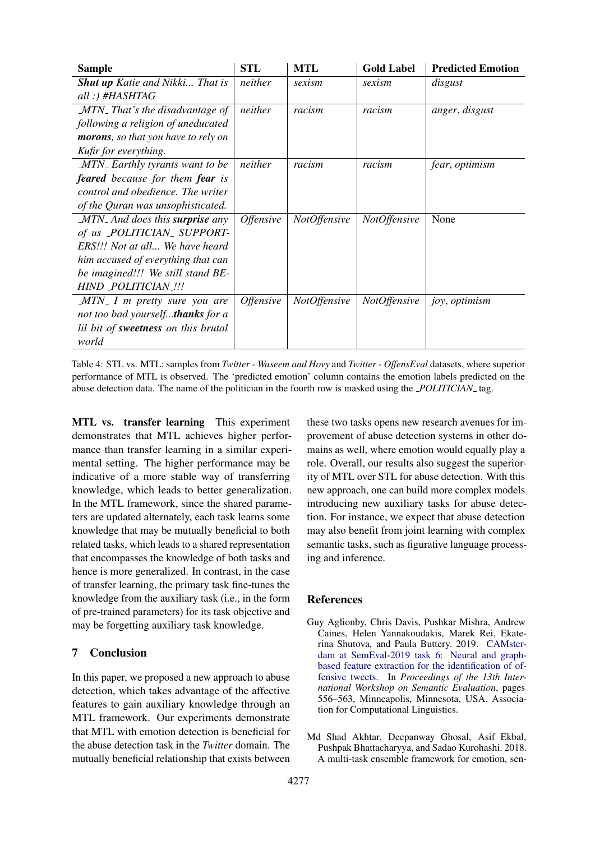<span id="page-7-2"></span>

| <b>Sample</b>                                 | <b>STL</b>              | <b>MTL</b>          | <b>Gold Label</b>   | <b>Predicted Emotion</b> |
|-----------------------------------------------|-------------------------|---------------------|---------------------|--------------------------|
| <b>Shut up</b> Katie and Nikki That is        | neither                 | sexism              | sexism              | disgust                  |
| all :) #HASHTAG                               |                         |                     |                     |                          |
| MTN_That's the disadvantage of                | neither                 | racism              | racism              | anger, disgust           |
| following a religion of uneducated            |                         |                     |                     |                          |
| morons, so that you have to rely on           |                         |                     |                     |                          |
| Kufir for everything.                         |                         |                     |                     |                          |
| <b>MTN</b> Earthly tyrants want to be         | neither                 | racism              | racism              | fear, optimism           |
| <b>feared</b> because for them <b>fear</b> is |                         |                     |                     |                          |
| control and obedience. The writer             |                         |                     |                     |                          |
| of the Quran was unsophisticated.             |                         |                     |                     |                          |
| MTN_And does this <b>surprise</b> any         | <i><b>Offensive</b></i> | <b>NotOffensive</b> | <b>NotOffensive</b> | None                     |
| of us POLITICIAN_SUPPORT-                     |                         |                     |                     |                          |
| ERS!!! Not at all We have heard               |                         |                     |                     |                          |
| him accused of everything that can            |                         |                     |                     |                          |
| be imagined!!! We still stand BE-             |                         |                     |                     |                          |
| HIND POLITICIAN .!!!                          |                         |                     |                     |                          |
| $MTN$ <sub>-</sub> I m pretty sure you are    | <i><b>Offensive</b></i> | <b>NotOffensive</b> | <i>NotOffensive</i> | joy, optimism            |
| not too bad yourselfthanks for a              |                         |                     |                     |                          |
| lil bit of sweetness on this brutal           |                         |                     |                     |                          |
| world                                         |                         |                     |                     |                          |

Table 4: STL vs. MTL: samples from *Twitter - Waseem and Hovy* and *Twitter - OffensEval* datasets, where superior performance of MTL is observed. The 'predicted emotion' column contains the emotion labels predicted on the abuse detection data. The name of the politician in the fourth row is masked using the *POLITICIAN* tag.

MTL vs. transfer learning This experiment demonstrates that MTL achieves higher performance than transfer learning in a similar experimental setting. The higher performance may be indicative of a more stable way of transferring knowledge, which leads to better generalization. In the MTL framework, since the shared parameters are updated alternately, each task learns some knowledge that may be mutually beneficial to both related tasks, which leads to a shared representation that encompasses the knowledge of both tasks and hence is more generalized. In contrast, in the case of transfer learning, the primary task fine-tunes the knowledge from the auxiliary task (i.e., in the form of pre-trained parameters) for its task objective and may be forgetting auxiliary task knowledge.

# 7 Conclusion

In this paper, we proposed a new approach to abuse detection, which takes advantage of the affective features to gain auxiliary knowledge through an MTL framework. Our experiments demonstrate that MTL with emotion detection is beneficial for the abuse detection task in the *Twitter* domain. The mutually beneficial relationship that exists between these two tasks opens new research avenues for improvement of abuse detection systems in other domains as well, where emotion would equally play a role. Overall, our results also suggest the superiority of MTL over STL for abuse detection. With this new approach, one can build more complex models introducing new auxiliary tasks for abuse detection. For instance, we expect that abuse detection may also benefit from joint learning with complex semantic tasks, such as figurative language processing and inference.

# **References**

- <span id="page-7-0"></span>Guy Aglionby, Chris Davis, Pushkar Mishra, Andrew Caines, Helen Yannakoudakis, Marek Rei, Ekaterina Shutova, and Paula Buttery. 2019. [CAMster](https://doi.org/10.18653/v1/S19-2100)[dam at SemEval-2019 task 6: Neural and graph](https://doi.org/10.18653/v1/S19-2100)[based feature extraction for the identification of of](https://doi.org/10.18653/v1/S19-2100)[fensive tweets.](https://doi.org/10.18653/v1/S19-2100) In *Proceedings of the 13th International Workshop on Semantic Evaluation*, pages 556–563, Minneapolis, Minnesota, USA. Association for Computational Linguistics.
- <span id="page-7-1"></span>Md Shad Akhtar, Deepanway Ghosal, Asif Ekbal, Pushpak Bhattacharyya, and Sadao Kurohashi. 2018. A multi-task ensemble framework for emotion, sen-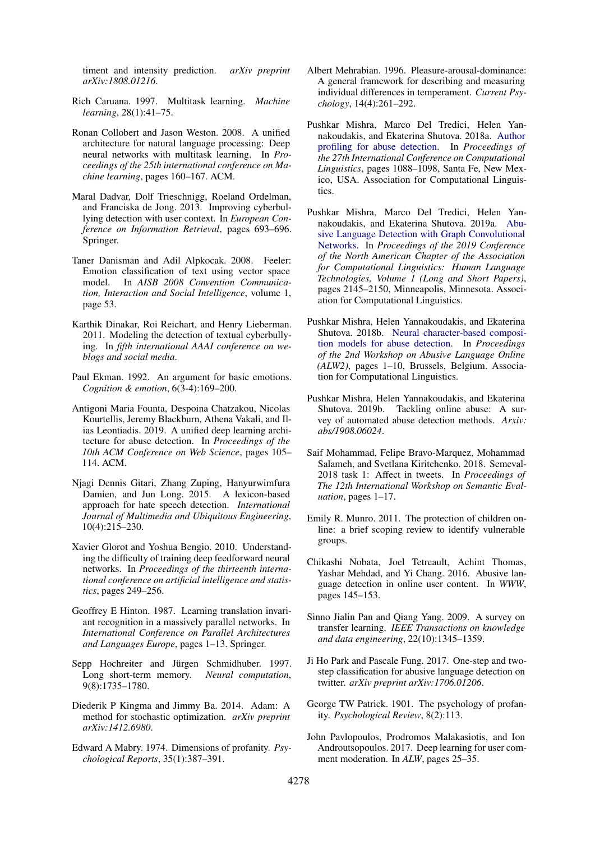timent and intensity prediction. *arXiv preprint arXiv:1808.01216*.

- <span id="page-8-9"></span>Rich Caruana. 1997. Multitask learning. *Machine learning*, 28(1):41–75.
- <span id="page-8-15"></span>Ronan Collobert and Jason Weston. 2008. A unified architecture for natural language processing: Deep neural networks with multitask learning. In *Proceedings of the 25th international conference on Machine learning*, pages 160–167. ACM.
- <span id="page-8-12"></span>Maral Dadvar, Dolf Trieschnigg, Roeland Ordelman, and Franciska de Jong. 2013. Improving cyberbullying detection with user context. In *European Conference on Information Retrieval*, pages 693–696. Springer.
- <span id="page-8-18"></span>Taner Danisman and Adil Alpkocak. 2008. Feeler: Emotion classification of text using vector space model. In *AISB 2008 Convention Communication, Interaction and Social Intelligence*, volume 1, page 53.
- <span id="page-8-11"></span>Karthik Dinakar, Roi Reichart, and Henry Lieberman. 2011. Modeling the detection of textual cyberbullying. In *fifth international AAAI conference on weblogs and social media*.
- <span id="page-8-16"></span>Paul Ekman. 1992. An argument for basic emotions. *Cognition & emotion*, 6(3-4):169–200.
- <span id="page-8-14"></span>Antigoni Maria Founta, Despoina Chatzakou, Nicolas Kourtellis, Jeremy Blackburn, Athena Vakali, and Ilias Leontiadis. 2019. A unified deep learning architecture for abuse detection. In *Proceedings of the 10th ACM Conference on Web Science*, pages 105– 114. ACM.
- <span id="page-8-10"></span>Njagi Dennis Gitari, Zhang Zuping, Hanyurwimfura Damien, and Jun Long. 2015. A lexicon-based approach for hate speech detection. *International Journal of Multimedia and Ubiquitous Engineering*, 10(4):215–230.
- <span id="page-8-24"></span>Xavier Glorot and Yoshua Bengio. 2010. Understanding the difficulty of training deep feedforward neural networks. In *Proceedings of the thirteenth international conference on artificial intelligence and statistics*, pages 249–256.
- <span id="page-8-22"></span>Geoffrey E Hinton. 1987. Learning translation invariant recognition in a massively parallel networks. In *International Conference on Parallel Architectures and Languages Europe*, pages 1–13. Springer.
- <span id="page-8-21"></span>Sepp Hochreiter and Jürgen Schmidhuber. 1997. Long short-term memory. *Neural computation*, 9(8):1735–1780.
- <span id="page-8-23"></span>Diederik P Kingma and Jimmy Ba. 2014. Adam: A method for stochastic optimization. *arXiv preprint arXiv:1412.6980*.
- <span id="page-8-8"></span>Edward A Mabry. 1974. Dimensions of profanity. *Psychological Reports*, 35(1):387–391.
- <span id="page-8-17"></span>Albert Mehrabian. 1996. Pleasure-arousal-dominance: A general framework for describing and measuring individual differences in temperament. *Current Psychology*, 14(4):261–292.
- <span id="page-8-5"></span>Pushkar Mishra, Marco Del Tredici, Helen Yannakoudakis, and Ekaterina Shutova. 2018a. [Author](https://www.aclweb.org/anthology/C18-1093) [profiling for abuse detection.](https://www.aclweb.org/anthology/C18-1093) In *Proceedings of the 27th International Conference on Computational Linguistics*, pages 1088–1098, Santa Fe, New Mexico, USA. Association for Computational Linguistics.
- <span id="page-8-6"></span>Pushkar Mishra, Marco Del Tredici, Helen Yannakoudakis, and Ekaterina Shutova. 2019a. [Abu](https://doi.org/10.18653/v1/N19-1221)[sive Language Detection with Graph Convolutional](https://doi.org/10.18653/v1/N19-1221) [Networks.](https://doi.org/10.18653/v1/N19-1221) In *Proceedings of the 2019 Conference of the North American Chapter of the Association for Computational Linguistics: Human Language Technologies, Volume 1 (Long and Short Papers)*, pages 2145–2150, Minneapolis, Minnesota. Association for Computational Linguistics.
- <span id="page-8-13"></span>Pushkar Mishra, Helen Yannakoudakis, and Ekaterina Shutova. 2018b. [Neural character-based composi](https://doi.org/10.18653/v1/W18-5101)[tion models for abuse detection.](https://doi.org/10.18653/v1/W18-5101) In *Proceedings of the 2nd Workshop on Abusive Language Online (ALW2)*, pages 1–10, Brussels, Belgium. Association for Computational Linguistics.
- <span id="page-8-1"></span>Pushkar Mishra, Helen Yannakoudakis, and Ekaterina Shutova. 2019b. Tackling online abuse: A survey of automated abuse detection methods. *Arxiv: abs/1908.06024*.
- <span id="page-8-20"></span>Saif Mohammad, Felipe Bravo-Marquez, Mohammad Salameh, and Svetlana Kiritchenko. 2018. Semeval-2018 task 1: Affect in tweets. In *Proceedings of The 12th International Workshop on Semantic Evaluation*, pages 1–17.
- <span id="page-8-0"></span>Emily R. Munro. 2011. The protection of children online: a brief scoping review to identify vulnerable groups.
- <span id="page-8-4"></span>Chikashi Nobata, Joel Tetreault, Achint Thomas, Yashar Mehdad, and Yi Chang. 2016. Abusive language detection in online user content. In *WWW*, pages 145–153.
- <span id="page-8-19"></span>Sinno Jialin Pan and Qiang Yang. 2009. A survey on transfer learning. *IEEE Transactions on knowledge and data engineering*, 22(10):1345–1359.
- <span id="page-8-3"></span>Ji Ho Park and Pascale Fung. 2017. One-step and twostep classification for abusive language detection on twitter. *arXiv preprint arXiv:1706.01206*.
- <span id="page-8-7"></span>George TW Patrick. 1901. The psychology of profanity. *Psychological Review*, 8(2):113.
- <span id="page-8-2"></span>John Pavlopoulos, Prodromos Malakasiotis, and Ion Androutsopoulos. 2017. Deep learning for user comment moderation. In *ALW*, pages 25–35.